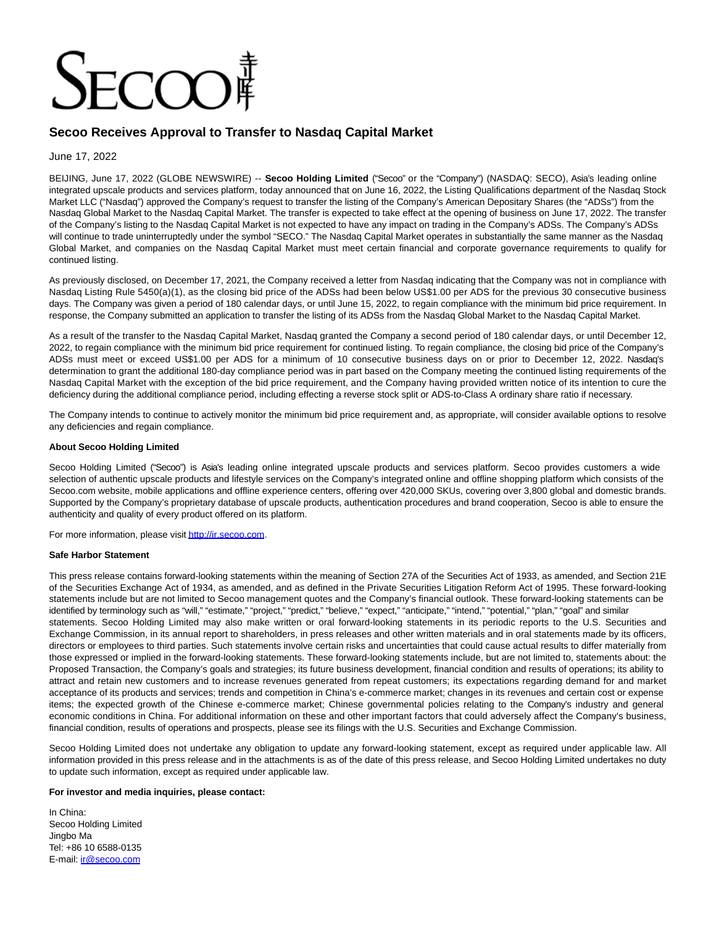# $TCCT$

# **Secoo Receives Approval to Transfer to Nasdaq Capital Market**

## June 17, 2022

BEIJING, June 17, 2022 (GLOBE NEWSWIRE) -- **Secoo Holding Limited** ("Secoo" or the "Company") (NASDAQ: SECO), Asia's leading online integrated upscale products and services platform, today announced that on June 16, 2022, the Listing Qualifications department of the Nasdaq Stock Market LLC ("Nasdaq") approved the Company's request to transfer the listing of the Company's American Depositary Shares (the "ADSs") from the Nasdaq Global Market to the Nasdaq Capital Market. The transfer is expected to take effect at the opening of business on June 17, 2022. The transfer of the Company's listing to the Nasdaq Capital Market is not expected to have any impact on trading in the Company's ADSs. The Company's ADSs will continue to trade uninterruptedly under the symbol "SECO." The Nasdaq Capital Market operates in substantially the same manner as the Nasdaq Global Market, and companies on the Nasdaq Capital Market must meet certain financial and corporate governance requirements to qualify for continued listing.

As previously disclosed, on December 17, 2021, the Company received a letter from Nasdaq indicating that the Company was not in compliance with Nasdaq Listing Rule 5450(a)(1), as the closing bid price of the ADSs had been below US\$1.00 per ADS for the previous 30 consecutive business days. The Company was given a period of 180 calendar days, or until June 15, 2022, to regain compliance with the minimum bid price requirement. In response, the Company submitted an application to transfer the listing of its ADSs from the Nasdaq Global Market to the Nasdaq Capital Market.

As a result of the transfer to the Nasdaq Capital Market, Nasdaq granted the Company a second period of 180 calendar days, or until December 12, 2022, to regain compliance with the minimum bid price requirement for continued listing. To regain compliance, the closing bid price of the Company's ADSs must meet or exceed US\$1.00 per ADS for a minimum of 10 consecutive business days on or prior to December 12, 2022. Nasdaq's determination to grant the additional 180-day compliance period was in part based on the Company meeting the continued listing requirements of the Nasdaq Capital Market with the exception of the bid price requirement, and the Company having provided written notice of its intention to cure the deficiency during the additional compliance period, including effecting a reverse stock split or ADS-to-Class A ordinary share ratio if necessary.

The Company intends to continue to actively monitor the minimum bid price requirement and, as appropriate, will consider available options to resolve any deficiencies and regain compliance.

### **About Secoo Holding Limited**

Secoo Holding Limited ("Secoo") is Asia's leading online integrated upscale products and services platform. Secoo provides customers a wide selection of authentic upscale products and lifestyle services on the Company's integrated online and offline shopping platform which consists of the Secoo.com website, mobile applications and offline experience centers, offering over 420,000 SKUs, covering over 3,800 global and domestic brands. Supported by the Company's proprietary database of upscale products, authentication procedures and brand cooperation, Secoo is able to ensure the authenticity and quality of every product offered on its platform.

For more information, please visi[t http://ir.secoo.com.](https://www.globenewswire.com/Tracker?data=fp8RfCV_N4lePRaX3_LN17rkEEq6k1eO__cmiuysVDorFpWWA6r6wsyCeN_M9gFEK9QaO4OLug2uPo4HujlEXg==)

### **Safe Harbor Statement**

This press release contains forward-looking statements within the meaning of Section 27A of the Securities Act of 1933, as amended, and Section 21E of the Securities Exchange Act of 1934, as amended, and as defined in the Private Securities Litigation Reform Act of 1995. These forward-looking statements include but are not limited to Secoo management quotes and the Company's financial outlook. These forward-looking statements can be identified by terminology such as "will," "estimate," "project," "predict," "believe," "expect," "anticipate," "intend," "potential," "plan," "goal" and similar statements. Secoo Holding Limited may also make written or oral forward-looking statements in its periodic reports to the U.S. Securities and Exchange Commission, in its annual report to shareholders, in press releases and other written materials and in oral statements made by its officers, directors or employees to third parties. Such statements involve certain risks and uncertainties that could cause actual results to differ materially from those expressed or implied in the forward-looking statements. These forward-looking statements include, but are not limited to, statements about: the Proposed Transaction, the Company's goals and strategies; its future business development, financial condition and results of operations; its ability to attract and retain new customers and to increase revenues generated from repeat customers; its expectations regarding demand for and market acceptance of its products and services; trends and competition in China's e-commerce market; changes in its revenues and certain cost or expense items; the expected growth of the Chinese e-commerce market; Chinese governmental policies relating to the Company's industry and general economic conditions in China. For additional information on these and other important factors that could adversely affect the Company's business, financial condition, results of operations and prospects, please see its filings with the U.S. Securities and Exchange Commission.

Secoo Holding Limited does not undertake any obligation to update any forward-looking statement, except as required under applicable law. All information provided in this press release and in the attachments is as of the date of this press release, and Secoo Holding Limited undertakes no duty to update such information, except as required under applicable law.

### **For investor and media inquiries, please contact:**

In China: Secoo Holding Limited Jingbo Ma Tel: +86 10 6588-0135 E-mail: [ir@secoo.com](https://www.globenewswire.com/Tracker?data=XY-PS81RDtwpUI8LAmzVboVjgZoncv38MD6q7kJZ6IQsAazBB7TB8sHB1L8sXBIQGiAalgWg9cHDwkw4ImfrBQ==)